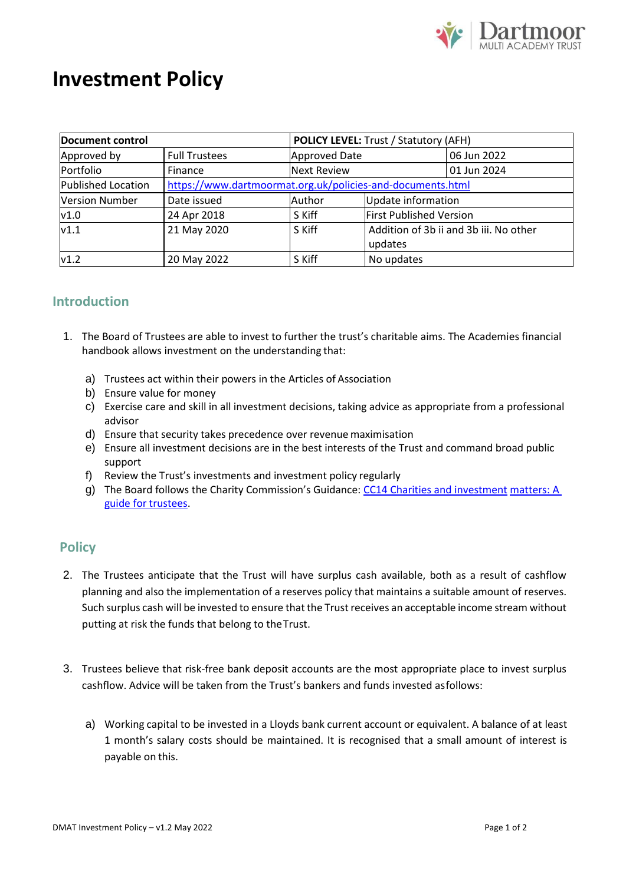

## **Investment Policy**

| Document control          |                                                            | <b>POLICY LEVEL: Trust / Statutory (AFH)</b> |                                        |             |
|---------------------------|------------------------------------------------------------|----------------------------------------------|----------------------------------------|-------------|
| Approved by               | <b>Full Trustees</b>                                       | <b>Approved Date</b>                         |                                        | 06 Jun 2022 |
| Portfolio                 | Finance                                                    | <b>Next Review</b>                           |                                        | 01 Jun 2024 |
| <b>Published Location</b> | https://www.dartmoormat.org.uk/policies-and-documents.html |                                              |                                        |             |
| <b>Version Number</b>     | Date issued                                                | Author                                       | Update information                     |             |
| v1.0                      | 24 Apr 2018                                                | S Kiff                                       | <b>First Published Version</b>         |             |
| v1.1                      | 21 May 2020                                                | S Kiff                                       | Addition of 3b ii and 3b iii. No other |             |
|                           |                                                            |                                              | updates                                |             |
| v1.2                      | 20 May 2022                                                | S Kiff                                       | No updates                             |             |

## **Introduction**

- 1. The Board of Trustees are able to invest to further the trust's charitable aims. The Academies financial handbook allows investment on the understanding that:
	- a) Trustees act within their powers in the Articles of Association
	- b) Ensure value for money
	- c) Exercise care and skill in all investment decisions, taking advice as appropriate from a professional advisor
	- d) Ensure that security takes precedence over revenue maximisation
	- e) Ensure all investment decisions are in the best interests of the Trust and command broad public support
	- f) Review the Trust's investments and investment policy regularly
	- g) The Board follows the Charity Commission's Guidance: [CC14 Charities and investment](https://www.gov.uk/government/publications/charities-and-investment-matters-a-guide-for-trustees-cc14) [matters: A](https://www.gov.uk/government/publications/charities-and-investment-matters-a-guide-for-trustees-cc14)  [guide for](https://www.gov.uk/government/publications/charities-and-investment-matters-a-guide-for-trustees-cc14) trustees.

## **Policy**

- 2. The Trustees anticipate that the Trust will have surplus cash available, both as a result of cashflow planning and also the implementation of a reserves policy that maintains a suitable amount of reserves. Such surplus cash will be invested to ensure that the Trust receives an acceptable income stream without putting at risk the funds that belong to theTrust.
- 3. Trustees believe that risk-free bank deposit accounts are the most appropriate place to invest surplus cashflow. Advice will be taken from the Trust's bankers and funds invested asfollows:
	- a) Working capital to be invested in a Lloyds bank current account or equivalent. A balance of at least 1 month's salary costs should be maintained. It is recognised that a small amount of interest is payable on this.